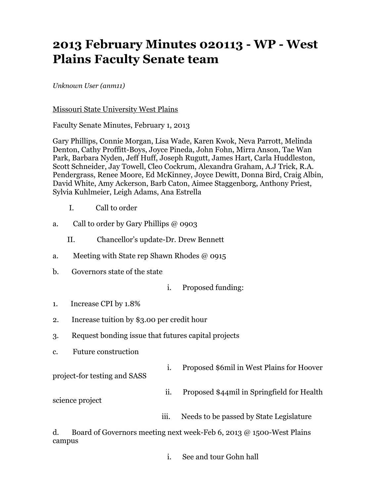## **2013 February Minutes 020113 - WP - West Plains Faculty Senate team**

*Unknown User (anm11)*

## Missouri State University West Plains

Faculty Senate Minutes, February 1, 2013

Gary Phillips, Connie Morgan, Lisa Wade, Karen Kwok, Neva Parrott, Melinda Denton, Cathy Proffitt-Boys, Joyce Pineda, John Fohn, Mirra Anson, Tae Wan Park, Barbara Nyden, Jeff Huff, Joseph Rugutt, James Hart, Carla Huddleston, Scott Schneider, Jay Towell, Cleo Cockrum, Alexandra Graham, A.J Trick, R.A. Pendergrass, Renee Moore, Ed McKinney, Joyce Dewitt, Donna Bird, Craig Albin, David White, Amy Ackerson, Barb Caton, Aimee Staggenborg, Anthony Priest, Sylvia Kuhlmeier, Leigh Adams, Ana Estrella

- I. Call to order
- a. Call to order by Gary Phillips @ 0903
	- II. Chancellor's update-Dr. Drew Bennett
- a. Meeting with State rep Shawn Rhodes @ 0915
- b. Governors state of the state
- i. Proposed funding:
- 1. Increase CPI by 1.8%
- 2. Increase tuition by \$3.00 per credit hour
- 3. Request bonding issue that futures capital projects
- c. Future construction
- i. Proposed \$6mil in West Plains for Hoover

project-for testing and SASS

ii. Proposed \$44mil in Springfield for Health

science project

iii. Needs to be passed by State Legislature

d. Board of Governors meeting next week-Feb 6, 2013 @ 1500-West Plains campus

i. See and tour Gohn hall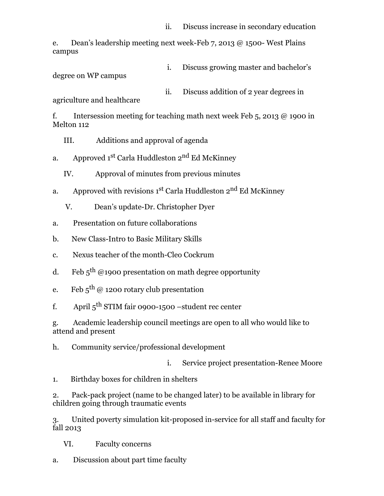e. Dean's leadership meeting next week-Feb 7, 2013 @ 1500- West Plains campus

i. Discuss growing master and bachelor's

degree on WP campus

ii. Discuss addition of 2 year degrees in

ii. Discuss increase in secondary education

agriculture and healthcare

f. Intersession meeting for teaching math next week Feb  $5, 2013 \ @$  1900 in Melton 112

III. Additions and approval of agenda

a. Approved 1<sup>st</sup> Carla Huddleston  $2^{nd}$  Ed McKinney

IV. Approval of minutes from previous minutes

a. Approved with revisions  $1^{st}$  Carla Huddleston  $2^{nd}$  Ed McKinney

V. Dean's update-Dr. Christopher Dyer

a. Presentation on future collaborations

b. New Class-Intro to Basic Military Skills

c. Nexus teacher of the month-Cleo Cockrum

d. Feb  $5^{th}$  @1900 presentation on math degree opportunity

e. Feb  $5^{\text{th}}$  @ 1200 rotary club presentation

f. April  $5<sup>th</sup> STIM$  fair 0900-1500 –student rec center

g. Academic leadership council meetings are open to all who would like to attend and present

h. Community service/professional development

i. Service project presentation-Renee Moore

1. Birthday boxes for children in shelters

2. Pack-pack project (name to be changed later) to be available in library for children going through traumatic events

3. United poverty simulation kit-proposed in-service for all staff and faculty for fall 2013

VI. Faculty concerns

a. Discussion about part time faculty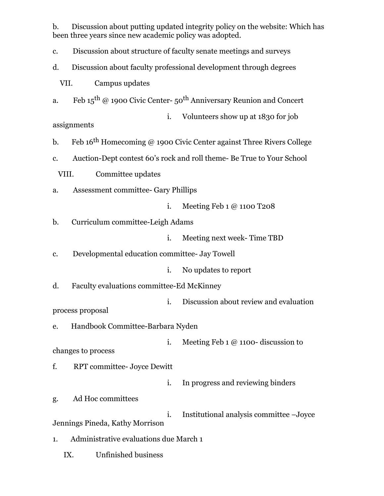b. Discussion about putting updated integrity policy on the website: Which has been three years since new academic policy was adopted.

c. Discussion about structure of faculty senate meetings and surveys

d. Discussion about faculty professional development through degrees

VII. Campus updates

a. Feb 15<sup>th</sup> @ 1900 Civic Center- 50<sup>th</sup> Anniversary Reunion and Concert

i. Volunteers show up at 1830 for job assignments

b. Feb 16<sup>th</sup> Homecoming @ 1900 Civic Center against Three Rivers College

c. Auction-Dept contest 60's rock and roll theme- Be True to Your School

VIII. Committee updates

a. Assessment committee- Gary Phillips

i. Meeting Feb 1 @ 1100 T208

b. Curriculum committee-Leigh Adams

i. Meeting next week- Time TBD

- c. Developmental education committee- Jay Towell
	- i. No updates to report
- d. Faculty evaluations committee-Ed McKinney

i. Discussion about review and evaluation process proposal

e. Handbook Committee-Barbara Nyden

i. Meeting Feb 1 @ 1100- discussion to

changes to process

f. RPT committee- Joyce Dewitt

i. In progress and reviewing binders

g. Ad Hoc committees

i. Institutional analysis committee –Joyce Jennings Pineda, Kathy Morrison

1. Administrative evaluations due March 1

IX. Unfinished business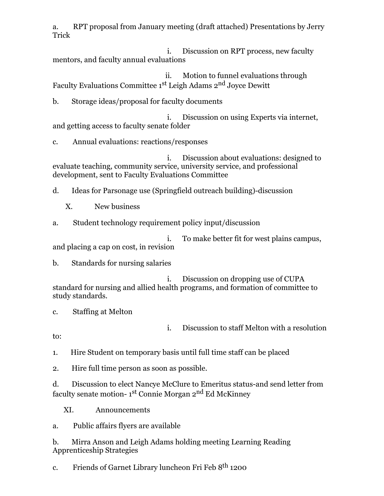a. RPT proposal from January meeting (draft attached) Presentations by Jerry Trick

i. Discussion on RPT process, new faculty mentors, and faculty annual evaluations

ii. Motion to funnel evaluations through Faculty Evaluations Committee 1st Leigh Adams 2nd Joyce Dewitt

b. Storage ideas/proposal for faculty documents

i. Discussion on using Experts via internet, and getting access to faculty senate folder

c. Annual evaluations: reactions/responses

i. Discussion about evaluations: designed to evaluate teaching, community service, university service, and professional development, sent to Faculty Evaluations Committee

d. Ideas for Parsonage use (Springfield outreach building)-discussion

X. New business

a. Student technology requirement policy input/discussion

i. To make better fit for west plains campus, and placing a cap on cost, in revision

b. Standards for nursing salaries

i. Discussion on dropping use of CUPA standard for nursing and allied health programs, and formation of committee to study standards.

c. Staffing at Melton

i. Discussion to staff Melton with a resolution

to:

1. Hire Student on temporary basis until full time staff can be placed

2. Hire full time person as soon as possible.

d. Discussion to elect Nancye McClure to Emeritus status-and send letter from faculty senate motion- 1st Connie Morgan 2nd Ed McKinney

XI. Announcements

a. Public affairs flyers are available

b. Mirra Anson and Leigh Adams holding meeting Learning Reading Apprenticeship Strategies

c. Friends of Garnet Library luncheon Fri Feb 8<sup>th</sup> 1200